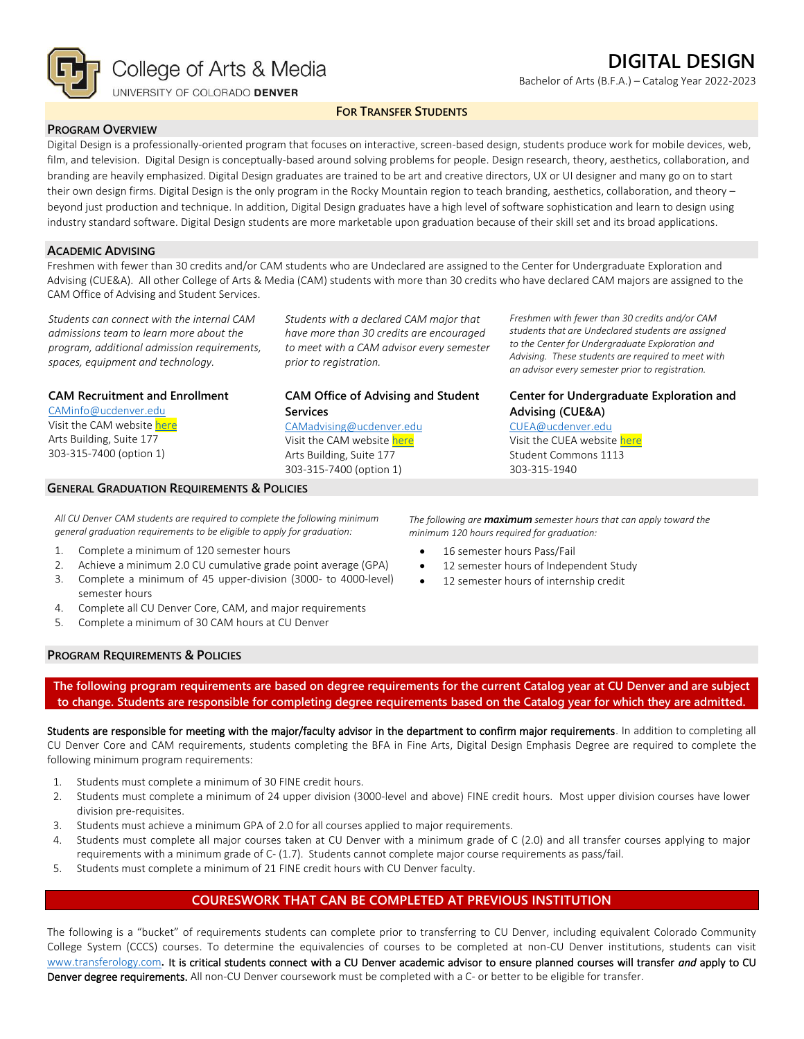

Bachelor of Arts (B.F.A.) – Catalog Year 2022-2023

#### **FOR TRANSFER STUDENTS**

#### **PROGRAM OVERVIEW**

Digital Design is a professionally-oriented program that focuses on interactive, screen-based design, students produce work for mobile devices, web, film, and television. Digital Design is conceptually-based around solving problems for people. Design research, theory, aesthetics, collaboration, and branding are heavily emphasized. Digital Design graduates are trained to be art and creative directors, UX or UI designer and many go on to start their own design firms. Digital Design is the only program in the Rocky Mountain region to teach branding, aesthetics, collaboration, and theory – beyond just production and technique. In addition, Digital Design graduates have a high level of software sophistication and learn to design using industry standard software. Digital Design students are more marketable upon graduation because of their skill set and its broad applications.

#### **ACADEMIC ADVISING**

Freshmen with fewer than 30 credits and/or CAM students who are Undeclared are assigned to the Center for Undergraduate Exploration and Advising (CUE&A). All other College of Arts & Media (CAM) students with more than 30 credits who have declared CAM majors are assigned to the CAM Office of Advising and Student Services.

*Students can connect with the internal CAM admissions team to learn more about the program, additional admission requirements, spaces, equipment and technology.*

*Students with a declared CAM major that have more than 30 credits are encouraged to meet with a CAM advisor every semester prior to registration.*

**CAM Office of Advising and Student** 

[CAMadvising@ucdenver.edu](mailto:CAMadvising@ucdenver.edu) Visit the CAM websit[e here](https://artsandmedia.ucdenver.edu/current-students/about-academic-advising) Arts Building, Suite 177 303-315-7400 (option 1)

**Services**

#### **CAM Recruitment and Enrollment**

[CAMinfo@ucdenver.edu](mailto:CAMinfo@ucdenver.edu) Visit the CAM websit[e here](https://artsandmedia.ucdenver.edu/prospective-students/prospective-students) Arts Building, Suite 177 303-315-7400 (option 1)

#### **GENERAL GRADUATION REQUIREMENTS & POLICIES**

*Freshmen with fewer than 30 credits and/or CAM students that are Undeclared students are assigned to the Center for Undergraduate Exploration and Advising. These students are required to meet with an advisor every semester prior to registration.*

## **Center for Undergraduate Exploration and Advising (CUE&A)**

[CUEA@ucdenver.edu](mailto:CUEA@ucdenver.edu) Visit the CUEA websit[e here](https://www.ucdenver.edu/center-for-undergraduate-exploration-and-advising) Student Commons 1113 303-315-1940

*All CU Denver CAM students are required to complete the following minimum general graduation requirements to be eligible to apply for graduation:*

- 1. Complete a minimum of 120 semester hours
- 2. Achieve a minimum 2.0 CU cumulative grade point average (GPA)
- 3. Complete a minimum of 45 upper-division (3000- to 4000-level) semester hours
- 4. Complete all CU Denver Core, CAM, and major requirements
- 5. Complete a minimum of 30 CAM hours at CU Denver

*The following are maximum semester hours that can apply toward the minimum 120 hours required for graduation:*

- 16 semester hours Pass/Fail
- 12 semester hours of Independent Study
- 12 semester hours of internship credit

#### **PROGRAM REQUIREMENTS & POLICIES**

**The following program requirements are based on degree requirements for the current Catalog year at CU Denver and are subject to change. Students are responsible for completing degree requirements based on the Catalog year for which they are admitted.**

Students are responsible for meeting with the major/faculty advisor in the department to confirm major requirements. In addition to completing all CU Denver Core and CAM requirements, students completing the BFA in Fine Arts, Digital Design Emphasis Degree are required to complete the following minimum program requirements:

- 1. Students must complete a minimum of 30 FINE credit hours.
- 2. Students must complete a minimum of 24 upper division (3000-level and above) FINE credit hours. Most upper division courses have lower division pre-requisites.
- 3. Students must achieve a minimum GPA of 2.0 for all courses applied to major requirements.
- 4. Students must complete all major courses taken at CU Denver with a minimum grade of C (2.0) and all transfer courses applying to major requirements with a minimum grade of C- (1.7). Students cannot complete major course requirements as pass/fail.
- 5. Students must complete a minimum of 21 FINE credit hours with CU Denver faculty.

## **COURESWORK THAT CAN BE COMPLETED AT PREVIOUS INSTITUTION**

The following is a "bucket" of requirements students can complete prior to transferring to CU Denver, including equivalent Colorado Community College System (CCCS) courses. To determine the equivalencies of courses to be completed at non-CU Denver institutions, students can visit [www.transferology.com](http://www.transferology.com/)**.** It is critical students connect with a CU Denver academic advisor to ensure planned courses will transfer *and* apply to CU Denver degree requirements. All non-CU Denver coursework must be completed with a C- or better to be eligible for transfer.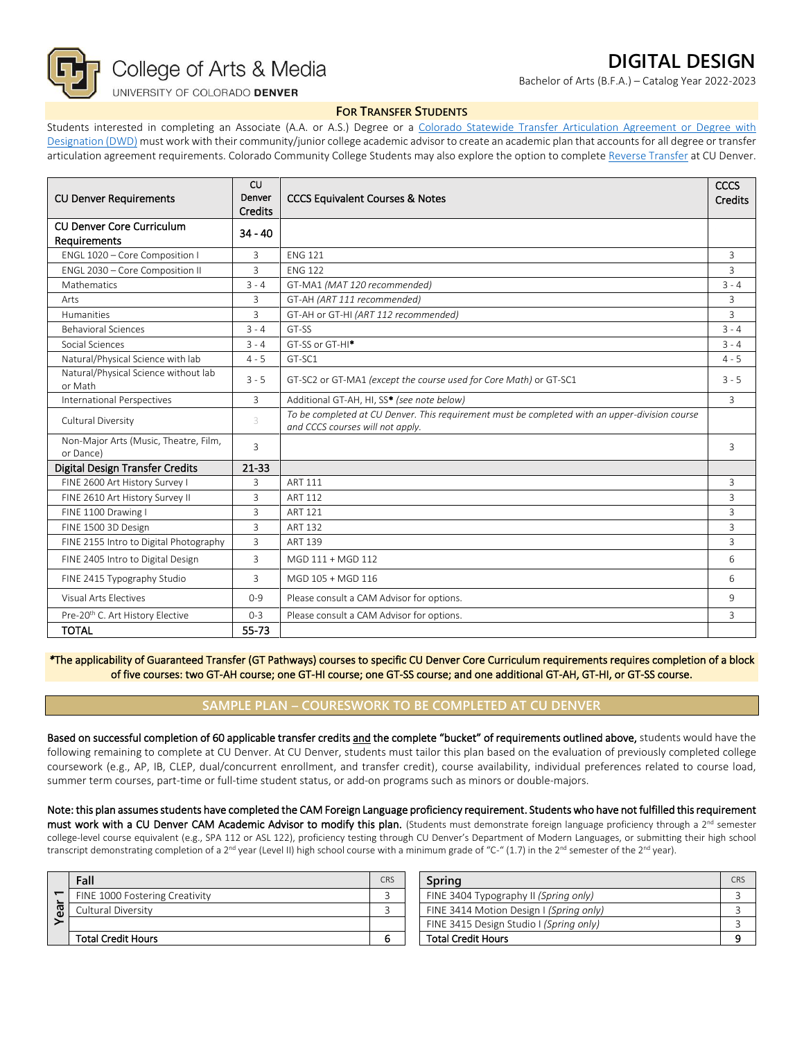

## UNIVERSITY OF COLORADO DENVER

# **DIGITAL DESIGN**

Bachelor of Arts (B.F.A.) – Catalog Year 2022-2023

#### **FOR TRANSFER STUDENTS**

Students interested in completing an Associate (A.A. or A.S.) Degree or a Colorado Statewide Transfer Articulation Agreement or Degree with [Designation \(DWD\)](https://highered.colorado.gov/Academics/Transfers/TransferDegrees.html) must work with their community/junior college academic advisor to create an academic plan that accounts for all degree or transfer articulation agreement requirements. Colorado Community College Students may also explore the option to complet[e Reverse Transfer](https://degreewithinreach.wordpress.com/) at CU Denver.

| <b>CU Denver Requirements</b>                      | <b>CU</b><br>Denver<br><b>Credits</b> | <b>CCCS Equivalent Courses &amp; Notes</b>                                                                                         | CCCS<br>Credits |
|----------------------------------------------------|---------------------------------------|------------------------------------------------------------------------------------------------------------------------------------|-----------------|
| <b>CU Denver Core Curriculum</b><br>Requirements   | $34 - 40$                             |                                                                                                                                    |                 |
| ENGL 1020 - Core Composition I                     | 3                                     | <b>FNG 121</b>                                                                                                                     | $\overline{3}$  |
| ENGL 2030 - Core Composition II                    | $\mathbf{R}$                          | <b>FNG 122</b>                                                                                                                     | 3               |
| Mathematics                                        | $3 - 4$                               | GT-MA1 (MAT 120 recommended)                                                                                                       | $3 - 4$         |
| Arts                                               | 3                                     | GT-AH (ART 111 recommended)                                                                                                        | 3               |
| <b>Humanities</b>                                  | 3                                     | GT-AH or GT-HI (ART 112 recommended)                                                                                               | 3               |
| <b>Behavioral Sciences</b>                         | $3 - 4$                               | GT-SS                                                                                                                              | $3 - 4$         |
| Social Sciences                                    | $3 - 4$                               | GT-SS or GT-HI <sup>*</sup>                                                                                                        | $3 - 4$         |
| Natural/Physical Science with lab                  | $4 - 5$                               | GT-SC1                                                                                                                             | $4 - 5$         |
| Natural/Physical Science without lab<br>or Math    | $3 - 5$                               | GT-SC2 or GT-MA1 (except the course used for Core Math) or GT-SC1                                                                  | $3 - 5$         |
| <b>International Perspectives</b>                  | 3                                     | Additional GT-AH, HI, SS* (see note below)                                                                                         | $\overline{3}$  |
| Cultural Diversity                                 | 3                                     | To be completed at CU Denver. This requirement must be completed with an upper-division course<br>and CCCS courses will not apply. |                 |
| Non-Major Arts (Music, Theatre, Film,<br>or Dance) | 3                                     |                                                                                                                                    | $\overline{3}$  |
| <b>Digital Design Transfer Credits</b>             | $21 - 33$                             |                                                                                                                                    |                 |
| FINE 2600 Art History Survey I                     | 3                                     | <b>ART 111</b>                                                                                                                     | 3               |
| FINE 2610 Art History Survey II                    | 3                                     | <b>ART 112</b>                                                                                                                     | $\overline{3}$  |
| FINE 1100 Drawing I                                | 3                                     | ART 121                                                                                                                            | 3               |
| FINE 1500 3D Design                                | $\overline{3}$                        | <b>ART 132</b>                                                                                                                     | 3               |
| FINE 2155 Intro to Digital Photography             | 3                                     | <b>ART 139</b>                                                                                                                     | 3               |
| FINE 2405 Intro to Digital Design                  | 3                                     | MGD 111 + MGD 112                                                                                                                  | 6               |
| FINE 2415 Typography Studio                        | 3                                     | MGD 105 + MGD 116                                                                                                                  | 6               |
| Visual Arts Electives                              | $0 - 9$                               | Please consult a CAM Advisor for options.                                                                                          | 9               |
| Pre-20 <sup>th</sup> C. Art History Elective       | $0 - 3$                               | Please consult a CAM Advisor for options.                                                                                          | 3               |
| <b>TOTAL</b>                                       | 55-73                                 |                                                                                                                                    |                 |

*\**The applicability of Guaranteed Transfer (GT Pathways) courses to specific CU Denver Core Curriculum requirements requires completion of a block of five courses: two GT-AH course; one GT-HI course; one GT-SS course; and one additional GT-AH, GT-HI, or GT-SS course.

## **SAMPLE PLAN – COURESWORK TO BE COMPLETED AT CU DENVER**

Based on successful completion of 60 applicable transfer credits and the complete "bucket" of requirements outlined above, students would have the following remaining to complete at CU Denver. At CU Denver, students must tailor this plan based on the evaluation of previously completed college coursework (e.g., AP, IB, CLEP, dual/concurrent enrollment, and transfer credit), course availability, individual preferences related to course load, summer term courses, part-time or full-time student status, or add-on programs such as minors or double-majors.

Note: this plan assumes students have completed the CAM Foreign Language proficiency requirement. Students who have not fulfilled this requirement must work with a CU Denver CAM Academic Advisor to modify this plan. (Students must demonstrate foreign language proficiency through a 2<sup>nd</sup> semester college-level course equivalent (e.g., SPA 112 or ASL 122), proficiency testing through CU Denver's Department of Modern Languages, or submitting their high school transcript demonstrating completion of a 2<sup>nd</sup> year (Level II) high school course with a minimum grade of "C-" (1.7) in the 2<sup>nd</sup> semester of the 2<sup>nd</sup> year).

| ത | Fall                           | CRS | Sprina                                  | <b>CRS</b> |
|---|--------------------------------|-----|-----------------------------------------|------------|
|   | FINE 1000 Fostering Creativity |     | FINE 3404 Typography II (Spring only)   |            |
|   | Cultural Diversity             |     | FINE 3414 Motion Design I (Spring only) |            |
|   |                                |     | FINE 3415 Design Studio I (Spring only) |            |
|   | <b>Total Credit Hours</b>      |     | <b>Total Credit Hours</b>               |            |

| Spring                                  |  |  |
|-----------------------------------------|--|--|
| FINE 3404 Typography II (Spring only)   |  |  |
| FINE 3414 Motion Design I (Spring only) |  |  |
| FINE 3415 Design Studio I (Spring only) |  |  |
| <b>Total Credit Hours</b>               |  |  |